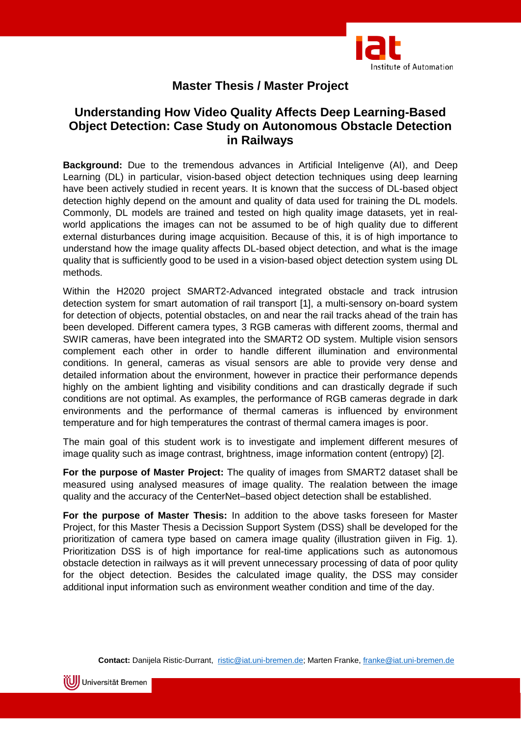

## **Master Thesis / Master Project**

## **Understanding How Video Quality Affects Deep Learning-Based Object Detection: Case Study on Autonomous Obstacle Detection in Railways**

**Background:** Due to the tremendous advances in Artificial Inteligenve (AI), and Deep Learning (DL) in particular, vision-based object detection techniques using deep learning have been actively studied in recent years. It is known that the success of DL-based object detection highly depend on the amount and quality of data used for training the DL models. Commonly, DL models are trained and tested on high quality image datasets, yet in realworld applications the images can not be assumed to be of high quality due to different external disturbances during image acquisition. Because of this, it is of high importance to understand how the image quality affects DL-based object detection, and what is the image quality that is sufficiently good to be used in a vision-based object detection system using DL methods.

Within the H2020 project SMART2-Advanced integrated obstacle and track intrusion detection system for smart automation of rail transport [1], a multi-sensory on-board system for detection of objects, potential obstacles, on and near the rail tracks ahead of the train has been developed. Different camera types, 3 RGB cameras with different zooms, thermal and SWIR cameras, have been integrated into the SMART2 OD system. Multiple vision sensors complement each other in order to handle different illumination and environmental conditions. In general, cameras as visual sensors are able to provide very dense and detailed information about the environment, however in practice their performance depends highly on the ambient lighting and visibility conditions and can drastically degrade if such conditions are not optimal. As examples, the performance of RGB cameras degrade in dark environments and the performance of thermal cameras is influenced by environment temperature and for high temperatures the contrast of thermal camera images is poor.

The main goal of this student work is to investigate and implement different mesures of image quality such as image contrast, brightness, image information content (entropy) [2].

**For the purpose of Master Project:** The quality of images from SMART2 dataset shall be measured using analysed measures of image quality. The realation between the image quality and the accuracy of the CenterNet–based object detection shall be established.

**For the purpose of Master Thesis:** In addition to the above tasks foreseen for Master Project, for this Master Thesis a Decission Support System (DSS) shall be developed for the prioritization of camera type based on camera image quality (illustration giiven in Fig. 1). Prioritization DSS is of high importance for real-time applications such as autonomous obstacle detection in railways as it will prevent unnecessary processing of data of poor qulity for the object detection. Besides the calculated image quality, the DSS may consider additional input information such as environment weather condition and time of the day.